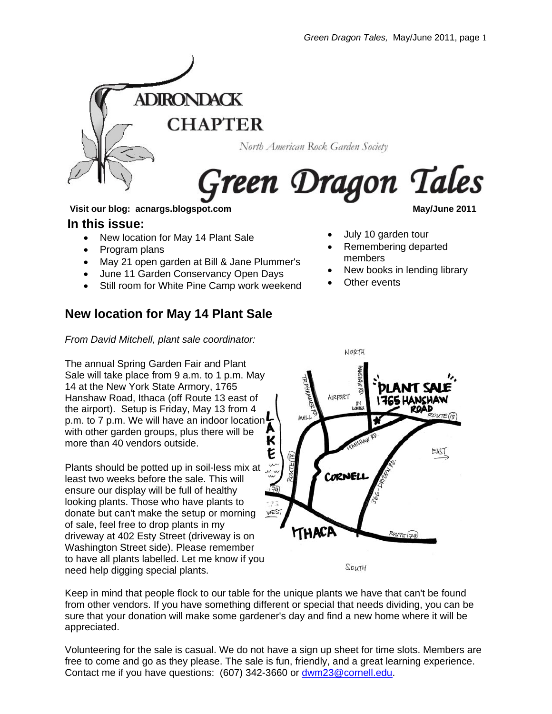

North American Rock Garden Society

# Green Dragon Tales

#### **Visit our blog: acnargs.blogspot.com May/June 2011**

#### **In this issue:**

- New location for May 14 Plant Sale
- Program plans
- May 21 open garden at Bill & Jane Plummer's
- June 11 Garden Conservancy Open Days
- Still room for White Pine Camp work weekend

## **New location for May 14 Plant Sale**

*From David Mitchell, plant sale coordinator:* 

The annual Spring Garden Fair and Plant Sale will take place from 9 a.m. to 1 p.m. May 14 at the New York State Armory, 1765 Hanshaw Road, Ithaca (off Route 13 east of the airport). Setup is Friday, May 13 from 4 p.m. to 7 p.m. We will have an indoor location with other garden groups, plus there will be к more than 40 vendors outside.

Plants should be potted up in soil-less mix at least two weeks before the sale. This will ensure our display will be full of healthy looking plants. Those who have plants to donate but can't make the setup or morning of sale, feel free to drop plants in my driveway at 402 Esty Street (driveway is on Washington Street side). Please remember to have all plants labelled. Let me know if you need help digging special plants.

- July 10 garden tour
- Remembering departed members
- New books in lending library
- Other events



SOKTH

Keep in mind that people flock to our table for the unique plants we have that can't be found from other vendors. If you have something different or special that needs dividing, you can be sure that your donation will make some gardener's day and find a new home where it will be appreciated.

Volunteering for the sale is casual. We do not have a sign up sheet for time slots. Members are free to come and go as they please. The sale is fun, friendly, and a great learning experience. Contact me if you have questions: (607) 342-3660 or dwm23@cornell.edu.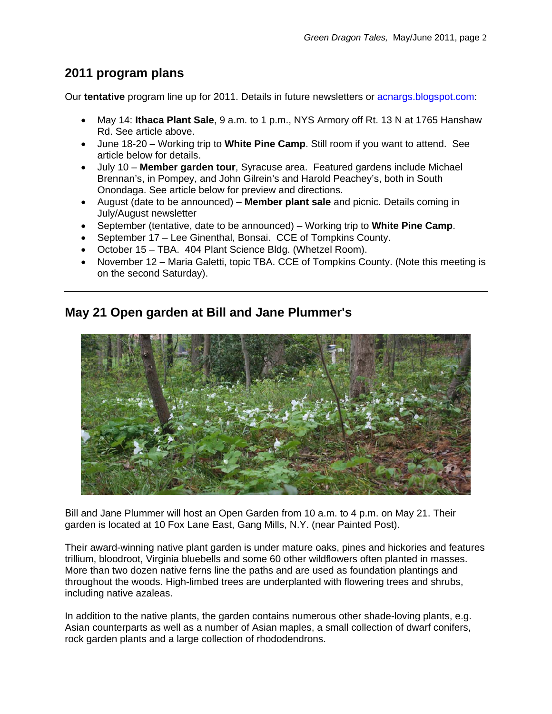# **2011 program plans**

Our **tentative** program line up for 2011. Details in future newsletters or acnargs.blogspot.com:

- May 14: **Ithaca Plant Sale**, 9 a.m. to 1 p.m., NYS Armory off Rt. 13 N at 1765 Hanshaw Rd. See article above.
- June 18-20 Working trip to **White Pine Camp**. Still room if you want to attend. See article below for details.
- July 10 **Member garden tour**, Syracuse area. Featured gardens include Michael Brennan's, in Pompey, and John Gilrein's and Harold Peachey's, both in South Onondaga. See article below for preview and directions.
- August (date to be announced) **Member plant sale** and picnic. Details coming in July/August newsletter
- September (tentative, date to be announced) Working trip to **White Pine Camp**.
- September 17 Lee Ginenthal, Bonsai. CCE of Tompkins County.
- October 15 TBA. 404 Plant Science Bldg. (Whetzel Room).
- November 12 Maria Galetti, topic TBA. CCE of Tompkins County. (Note this meeting is on the second Saturday).

# **May 21 Open garden at Bill and Jane Plummer's**



Bill and Jane Plummer will host an Open Garden from 10 a.m. to 4 p.m. on May 21. Their garden is located at 10 Fox Lane East, Gang Mills, N.Y. (near Painted Post).

Their award-winning native plant garden is under mature oaks, pines and hickories and features trillium, bloodroot, Virginia bluebells and some 60 other wildflowers often planted in masses. More than two dozen native ferns line the paths and are used as foundation plantings and throughout the woods. High-limbed trees are underplanted with flowering trees and shrubs, including native azaleas.

In addition to the native plants, the garden contains numerous other shade-loving plants, e.g. Asian counterparts as well as a number of Asian maples, a small collection of dwarf conifers, rock garden plants and a large collection of rhododendrons.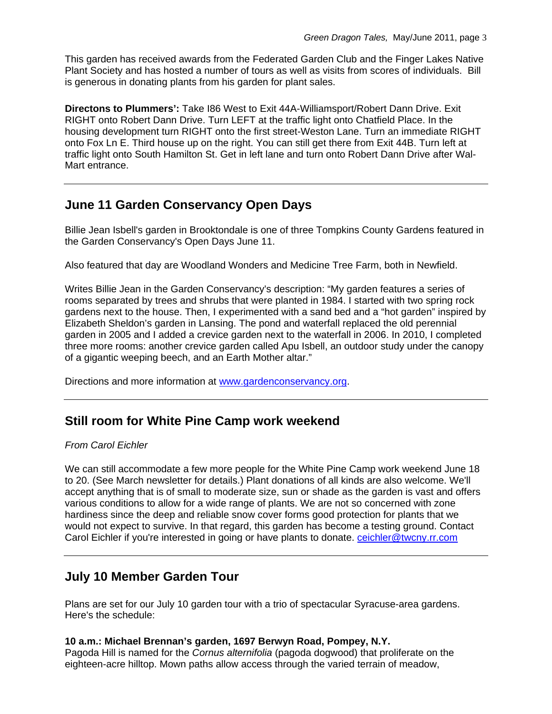This garden has received awards from the Federated Garden Club and the Finger Lakes Native Plant Society and has hosted a number of tours as well as visits from scores of individuals. Bill is generous in donating plants from his garden for plant sales.

**Directons to Plummers':** Take I86 West to Exit 44A-Williamsport/Robert Dann Drive. Exit RIGHT onto Robert Dann Drive. Turn LEFT at the traffic light onto Chatfield Place. In the housing development turn RIGHT onto the first street-Weston Lane. Turn an immediate RIGHT onto Fox Ln E. Third house up on the right. You can still get there from Exit 44B. Turn left at traffic light onto South Hamilton St. Get in left lane and turn onto Robert Dann Drive after Wal-Mart entrance.

# **June 11 Garden Conservancy Open Days**

Billie Jean Isbell's garden in Brooktondale is one of three Tompkins County Gardens featured in the Garden Conservancy's Open Days June 11.

Also featured that day are Woodland Wonders and Medicine Tree Farm, both in Newfield.

Writes Billie Jean in the Garden Conservancy's description: "My garden features a series of rooms separated by trees and shrubs that were planted in 1984. I started with two spring rock gardens next to the house. Then, I experimented with a sand bed and a "hot garden" inspired by Elizabeth Sheldon's garden in Lansing. The pond and waterfall replaced the old perennial garden in 2005 and I added a crevice garden next to the waterfall in 2006. In 2010, I completed three more rooms: another crevice garden called Apu Isbell, an outdoor study under the canopy of a gigantic weeping beech, and an Earth Mother altar."

Directions and more information at www.gardenconservancy.org.

# **Still room for White Pine Camp work weekend**

*From Carol Eichler* 

We can still accommodate a few more people for the White Pine Camp work weekend June 18 to 20. (See March newsletter for details.) Plant donations of all kinds are also welcome. We'll accept anything that is of small to moderate size, sun or shade as the garden is vast and offers various conditions to allow for a wide range of plants. We are not so concerned with zone hardiness since the deep and reliable snow cover forms good protection for plants that we would not expect to survive. In that regard, this garden has become a testing ground. Contact Carol Eichler if you're interested in going or have plants to donate. ceichler@twcny.rr.com

## **July 10 Member Garden Tour**

Plans are set for our July 10 garden tour with a trio of spectacular Syracuse-area gardens. Here's the schedule:

#### **10 a.m.: Michael Brennan's garden, 1697 Berwyn Road, Pompey, N.Y.**

Pagoda Hill is named for the *Cornus alternifolia* (pagoda dogwood) that proliferate on the eighteen-acre hilltop. Mown paths allow access through the varied terrain of meadow,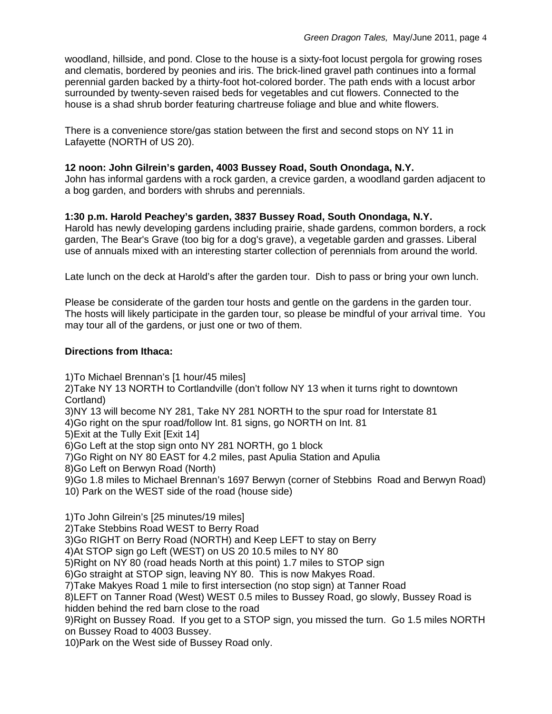woodland, hillside, and pond. Close to the house is a sixty-foot locust pergola for growing roses and clematis, bordered by peonies and iris. The brick-lined gravel path continues into a formal perennial garden backed by a thirty-foot hot-colored border. The path ends with a locust arbor surrounded by twenty-seven raised beds for vegetables and cut flowers. Connected to the house is a shad shrub border featuring chartreuse foliage and blue and white flowers.

There is a convenience store/gas station between the first and second stops on NY 11 in Lafayette (NORTH of US 20).

#### **12 noon: John Gilrein's garden, 4003 Bussey Road, South Onondaga, N.Y.**

John has informal gardens with a rock garden, a crevice garden, a woodland garden adjacent to a bog garden, and borders with shrubs and perennials.

#### **1:30 p.m. Harold Peachey's garden, 3837 Bussey Road, South Onondaga, N.Y.**

Harold has newly developing gardens including prairie, shade gardens, common borders, a rock garden, The Bear's Grave (too big for a dog's grave), a vegetable garden and grasses. Liberal use of annuals mixed with an interesting starter collection of perennials from around the world.

Late lunch on the deck at Harold's after the garden tour. Dish to pass or bring your own lunch.

Please be considerate of the garden tour hosts and gentle on the gardens in the garden tour. The hosts will likely participate in the garden tour, so please be mindful of your arrival time. You may tour all of the gardens, or just one or two of them.

#### **Directions from Ithaca:**

1)To Michael Brennan's [1 hour/45 miles]

2)Take NY 13 NORTH to Cortlandville (don't follow NY 13 when it turns right to downtown Cortland)

3)NY 13 will become NY 281, Take NY 281 NORTH to the spur road for Interstate 81

4)Go right on the spur road/follow Int. 81 signs, go NORTH on Int. 81

5)Exit at the Tully Exit [Exit 14]

6)Go Left at the stop sign onto NY 281 NORTH, go 1 block

7)Go Right on NY 80 EAST for 4.2 miles, past Apulia Station and Apulia

8)Go Left on Berwyn Road (North)

9)Go 1.8 miles to Michael Brennan's 1697 Berwyn (corner of Stebbins Road and Berwyn Road) 10) Park on the WEST side of the road (house side)

1)To John Gilrein's [25 minutes/19 miles]

2)Take Stebbins Road WEST to Berry Road

3)Go RIGHT on Berry Road (NORTH) and Keep LEFT to stay on Berry

4)At STOP sign go Left (WEST) on US 20 10.5 miles to NY 80

5)Right on NY 80 (road heads North at this point) 1.7 miles to STOP sign

6)Go straight at STOP sign, leaving NY 80. This is now Makyes Road.

7)Take Makyes Road 1 mile to first intersection (no stop sign) at Tanner Road

8)LEFT on Tanner Road (West) WEST 0.5 miles to Bussey Road, go slowly, Bussey Road is hidden behind the red barn close to the road

9)Right on Bussey Road. If you get to a STOP sign, you missed the turn. Go 1.5 miles NORTH on Bussey Road to 4003 Bussey.

10)Park on the West side of Bussey Road only.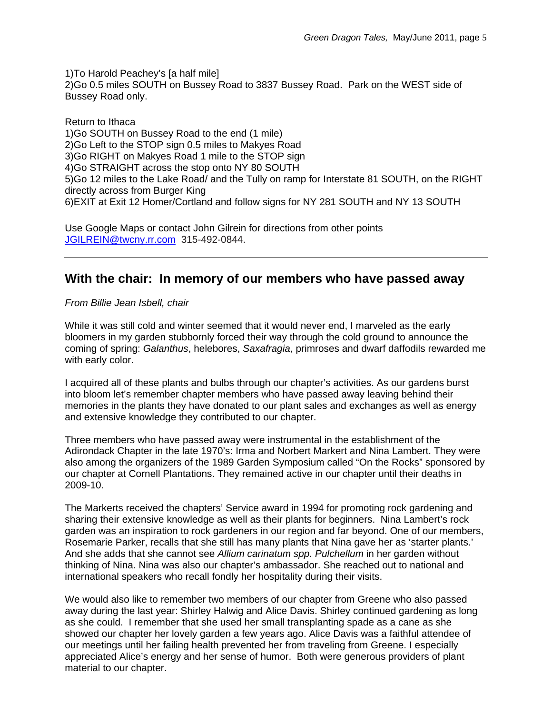1)To Harold Peachey's [a half mile] 2)Go 0.5 miles SOUTH on Bussey Road to 3837 Bussey Road. Park on the WEST side of Bussey Road only.

Return to Ithaca 1)Go SOUTH on Bussey Road to the end (1 mile) 2)Go Left to the STOP sign 0.5 miles to Makyes Road 3)Go RIGHT on Makyes Road 1 mile to the STOP sign 4)Go STRAIGHT across the stop onto NY 80 SOUTH 5)Go 12 miles to the Lake Road/ and the Tully on ramp for Interstate 81 SOUTH, on the RIGHT directly across from Burger King 6)EXIT at Exit 12 Homer/Cortland and follow signs for NY 281 SOUTH and NY 13 SOUTH

Use Google Maps or contact John Gilrein for directions from other points JGILREIN@twcny.rr.com 315-492-0844.

## **With the chair: In memory of our members who have passed away**

*From Billie Jean Isbell, chair* 

While it was still cold and winter seemed that it would never end, I marveled as the early bloomers in my garden stubbornly forced their way through the cold ground to announce the coming of spring: *Galanthus*, helebores, *Saxafragia*, primroses and dwarf daffodils rewarded me with early color.

I acquired all of these plants and bulbs through our chapter's activities. As our gardens burst into bloom let's remember chapter members who have passed away leaving behind their memories in the plants they have donated to our plant sales and exchanges as well as energy and extensive knowledge they contributed to our chapter.

Three members who have passed away were instrumental in the establishment of the Adirondack Chapter in the late 1970's: Irma and Norbert Markert and Nina Lambert. They were also among the organizers of the 1989 Garden Symposium called "On the Rocks" sponsored by our chapter at Cornell Plantations. They remained active in our chapter until their deaths in 2009-10.

The Markerts received the chapters' Service award in 1994 for promoting rock gardening and sharing their extensive knowledge as well as their plants for beginners. Nina Lambert's rock garden was an inspiration to rock gardeners in our region and far beyond. One of our members, Rosemarie Parker, recalls that she still has many plants that Nina gave her as 'starter plants.' And she adds that she cannot see *Allium carinatum spp. Pulchellum* in her garden without thinking of Nina. Nina was also our chapter's ambassador. She reached out to national and international speakers who recall fondly her hospitality during their visits.

We would also like to remember two members of our chapter from Greene who also passed away during the last year: Shirley Halwig and Alice Davis. Shirley continued gardening as long as she could. I remember that she used her small transplanting spade as a cane as she showed our chapter her lovely garden a few years ago. Alice Davis was a faithful attendee of our meetings until her failing health prevented her from traveling from Greene. I especially appreciated Alice's energy and her sense of humor. Both were generous providers of plant material to our chapter.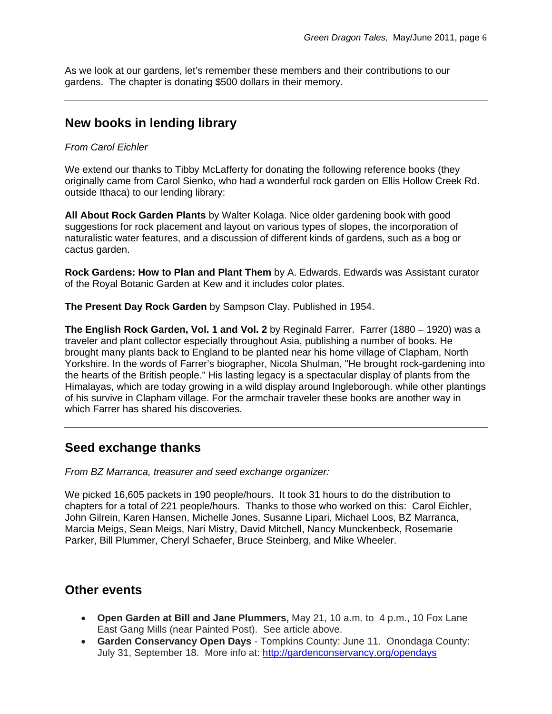As we look at our gardens, let's remember these members and their contributions to our gardens. The chapter is donating \$500 dollars in their memory.

## **New books in lending library**

#### *From Carol Eichler*

We extend our thanks to Tibby McLafferty for donating the following reference books (they originally came from Carol Sienko, who had a wonderful rock garden on Ellis Hollow Creek Rd. outside Ithaca) to our lending library:

**All About Rock Garden Plants** by Walter Kolaga. Nice older gardening book with good suggestions for rock placement and layout on various types of slopes, the incorporation of naturalistic water features, and a discussion of different kinds of gardens, such as a bog or cactus garden.

**Rock Gardens: How to Plan and Plant Them** by A. Edwards. Edwards was Assistant curator of the Royal Botanic Garden at Kew and it includes color plates.

**The Present Day Rock Garden** by Sampson Clay. Published in 1954.

**The English Rock Garden, Vol. 1 and Vol. 2** by Reginald Farrer. Farrer (1880 – 1920) was a traveler and plant collector especially throughout Asia, publishing a number of books. He brought many plants back to England to be planted near his home village of Clapham, North Yorkshire. In the words of Farrer's biographer, Nicola Shulman, "He brought rock-gardening into the hearts of the British people." His lasting legacy is a spectacular display of plants from the Himalayas, which are today growing in a wild display around Ingleborough. while other plantings of his survive in Clapham village. For the armchair traveler these books are another way in which Farrer has shared his discoveries.

## **Seed exchange thanks**

*From BZ Marranca, treasurer and seed exchange organizer:* 

We picked 16,605 packets in 190 people/hours. It took 31 hours to do the distribution to chapters for a total of 221 people/hours. Thanks to those who worked on this: Carol Eichler, John Gilrein, Karen Hansen, Michelle Jones, Susanne Lipari, Michael Loos, BZ Marranca, Marcia Meigs, Sean Meigs, Nari Mistry, David Mitchell, Nancy Munckenbeck, Rosemarie Parker, Bill Plummer, Cheryl Schaefer, Bruce Steinberg, and Mike Wheeler.

## **Other events**

- **Open Garden at Bill and Jane Plummers,** May 21, 10 a.m. to 4 p.m., 10 Fox Lane East Gang Mills (near Painted Post). See article above.
- **Garden Conservancy Open Days** Tompkins County: June 11. Onondaga County: July 31, September 18. More info at: http://gardenconservancy.org/opendays